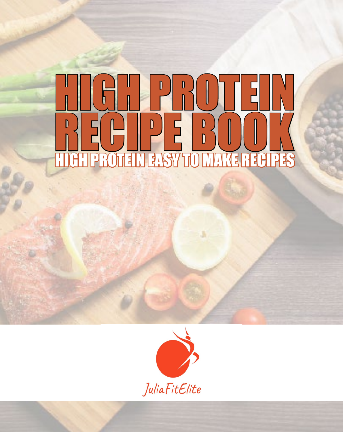# HIGH PROTEIN HIGH PROTEIN EASY TO MAKE RECIPES RECIPE BOOK



WWW.JULIAFITE.COM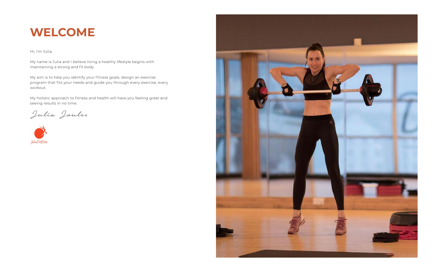# **WELCOME**

Hi, I'm Julia.

My name is Julia and I believe living a healthy lifestyle begins with maintaining a strong and fit body.

My aim is to help you identify your fitness goals, design an exercise program that fits your needs and guide you through every exercise, every workout.

My holistic approach to fitness and health will have you feeling great and seeing results in no time.

Julia Joules

JuliaFitElite

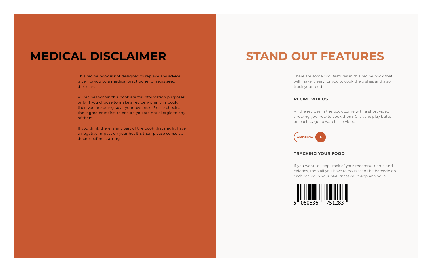## **MEDICAL DISCLAIMER**

This recipe book is not designed to replace any advice given to you by a medical practitioner or registered dietician.

All recipes within this book are for information purposes only. If you choose to make a recipe within this book, then you are doing so at your own risk. Please check all the ingredients first to ensure you are not allergic to any of them.

If you think there is any part of the book that might have a negative impact on your health, then please consult a doctor before starting.

WWW.YOURSELF.CO.UK

# **STAND OUT FEATURES**

There are some cool features in this recipe book that will make it easy for you to cook the dishes and also track your food.

#### **RECIPE VIDEOS**

All the recipes in the book come with a short video showing you how to cook them. Click the play button on each page to watch the video.



#### **TRACKING YOUR FOOD**

If you want to keep track of your macronutrients and calories, then all you have to do is scan the barcode on each recipe in your MyFitnessPal™ App and voila.

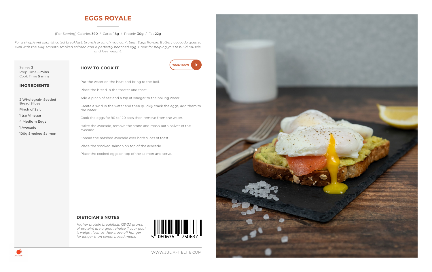### **EGGS ROYALE**

#### (Per Serving) Calories 390 / Carbs 18g / Protein 30g / Fat 22g

*For a simple yet sophisticated breakfast, brunch or lunch, you can't beat Eggs Royale. Buttery avocado goes so well with the silky smooth smoked salmon and a perfectly poached egg. Great for helping you to build muscle and lose weight.* 

Serves 2 Prep Time **5 mins** Cook Time 5 mins

#### **HOW TO COOK IT**



| Serves 2         |
|------------------|
| Prep Time 5 mins |
| Cook Time 5 mins |

#### **INGREDIENTS**

2 Wholegrain Seeded Bread Slices Pinch of Salt 1 tsp Vinegar

4 Medium Eggs

1 Avocado

100g Smoked Salmon

Place the bread in the toaster and toast. Add a pinch of salt and a tsp of vinegar to the boiling water. Create a swirl in the water and then quickly crack the eggs, add them to the water.

Put the water on the heat and bring to the boil.

Cook the eggs for 90 to 120 secs then remove from the water.

Halve the avocado, remove the stone and mash both halves of the avocado.

Spread the mashed avocado over both slices of toast.

Place the smoked salmon on top of the avocado.

Place the cooked eggs on top of the salmon and serve.

#### **DIETICIAN'S NOTES**

*Higher protein breakfasts (25-30 grams of protein) are a great choice if your goal is weight loss, as they stave off hunger for longer than cereal based meals.* 



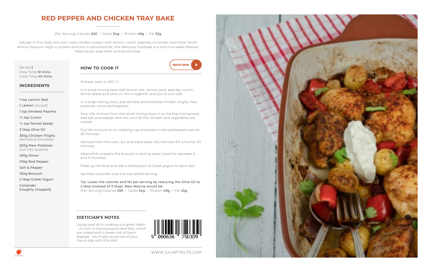### **RED PEPPER AND CHICKEN TRAY BAKE**

#### (Per Serving) Calories 620 / Carbs 34g / Protein 49g / Fat 32g

*Indulge in this tasty one-pan roast chicken supper with lemon, cumin, paprika, coriander and other North African flavours. High in protein and low in saturated fat, this delicious traybake is a real mid-week lifesaver helping you save time and avoid stress.*

Serves 2 Prep Time 10 mins Cook Time 40 mins

#### **HOW TO COOK IT**



Preheat oven to 200˚C.

**INGREDIENTS**

1 tsp Lemon Zest

1 Lemon (Juiced)

1 tsp Smoked Paprika

½ tsp Cumin

½ tsp Fennel Seeds

3 tbsp Olive Oil

350g Chicken Thighs (skinless & boneless)

250g New Potatoes (cut into quaters)

100g Onion

100g Red Pepper

Salt & Pepper

100g Broccoli

2 tbsp Greek Yogurt

Coriander (roughly chopped) In a small mixing bowl add lemon zest, lemon juice, paprika, cumin, fennel seeds and olive oil. Mix it together and put to one side.

In a large mixing bowl, add skinless and boneless chicken thighs, new potatoes, onion and peppers.

Pour the mixture from the small mixing bowl in to the big mixing bowl, add salt and pepper and mix until all the chicken and vegetables are coated.

Put the mixture on to a baking tray and place in the preheated oven for 20 minutes.

Remove from the oven, stir and place back into the oven for a further 20 minutes.

Meanwhile, prepare the broccoli in boiling water (cook for between 3 and 5 minutes).

Plate up the food and add a tablespoon of Greek yogurt to each dish.

Sprinkle coriander over the top before serving.

Tip: Lower the calories and fat per serving by reducing the Olive Oil to 2 tbsp (instead of 3 tbsp). New Macros would be: (Per Serving) Calories 559 / Carbs 34g / Protein 49g / Fat 25g

#### **DIETICIAN'S NOTES**

*Using olive oil in cooking is a great habit - it's rich in monounsaturated fats, which are linked with a lower risk of heart disease. You'll also score two of your five-a-day with this dish.*





WWW.JULIAFITELITE.COM